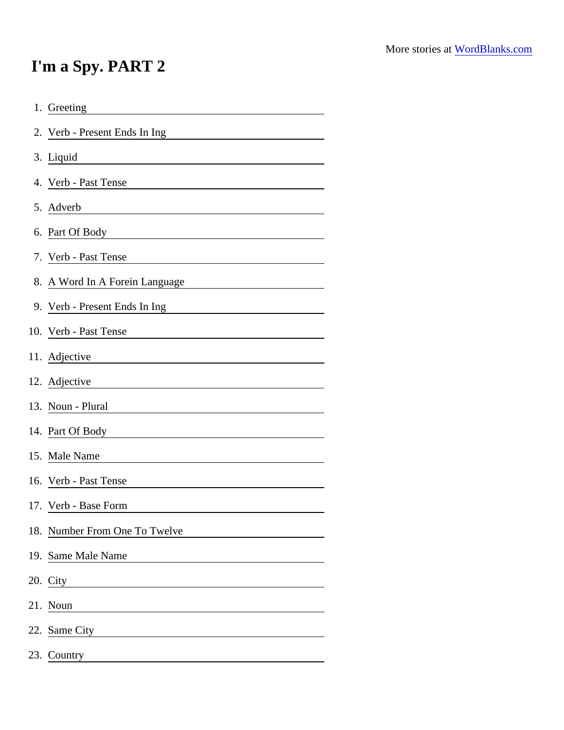## I'm a Spy. PART 2

| 1. Greeting                                                                                                                                    |
|------------------------------------------------------------------------------------------------------------------------------------------------|
| 2. Verb - Present Ends In Ing                                                                                                                  |
| 3. Liquid                                                                                                                                      |
| 4. Verb - Past Tense                                                                                                                           |
| 5. Adverb                                                                                                                                      |
| 6. Part Of Body <b>Container and Container and Container</b>                                                                                   |
| 7. Verb - Past Tense                                                                                                                           |
| 8. A Word In A Forein Language<br><u> 1989 - Johann Barn, mars ann an t-</u>                                                                   |
| 9. Verb - Present Ends In Ing<br>and Indian Communication Center Andrew Communications of the Muslim Communication Center Andrew Communication |
| 10. Verb - Past Tense<br><u> 1989 - Andrea Station Barbara, amerikan personal (h. 1989).</u>                                                   |
| 11. Adjective<br><u> 1980 - Jan Samuel Barbara, martin din shekara ta 1980 - An tsa masa tsara tsa masa tsa masa tsa masa tsa masa</u>         |
| 12. Adjective                                                                                                                                  |
| 13. Noun - Plural                                                                                                                              |
| 14. Part Of Body <b>Communication</b> Control of Body                                                                                          |
| 15. Male Name                                                                                                                                  |
| 16. Verb - Past Tense                                                                                                                          |
| 17. Verb - Base Form                                                                                                                           |
| 18. Number From One To Twelve                                                                                                                  |
| 19. Same Male Name                                                                                                                             |
| 20. City                                                                                                                                       |
| 21. Noun                                                                                                                                       |
| 22. Same City<br><u> 1980 - Jan Samuel Barbara, martin da shekara 1980 - An tsara 1980 - An tsara 1980 - An tsara 1980 - An tsara</u>          |
| 23. Country                                                                                                                                    |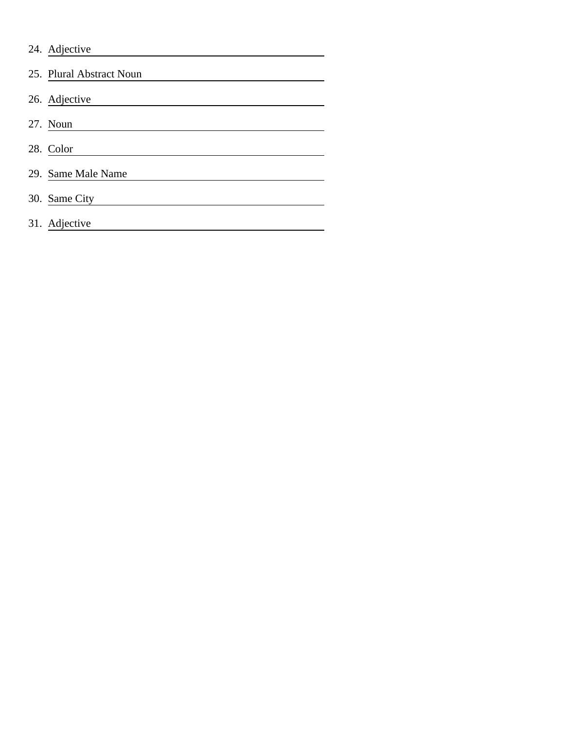| 24. Adjective            |
|--------------------------|
| 25. Plural Abstract Noun |
| 26. Adjective            |
| 27. Noun                 |
| 28. Color                |
| 29. Same Male Name       |
| 30. Same City            |
| 31. Adjective            |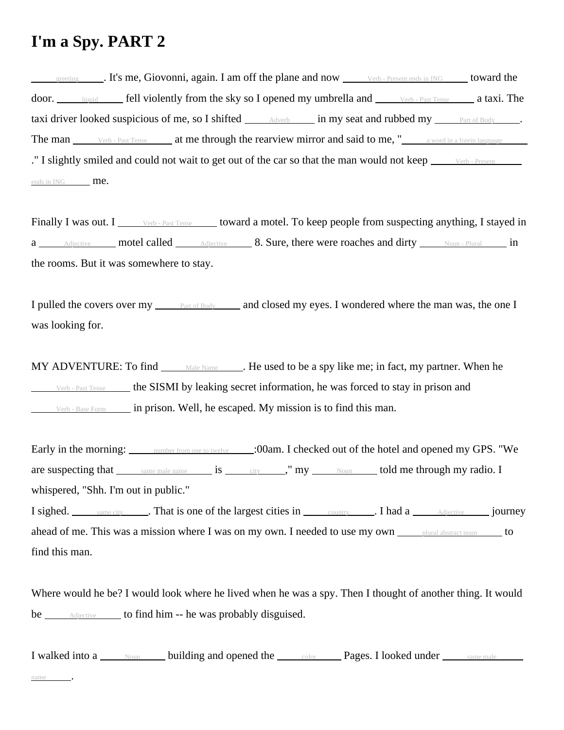## **I'm a Spy. PART 2**

greeting . It's me, Giovonni, again. I am off the plane and now verb - Present ends in ING toward the door. <u>liquid</u> fell violently from the sky so I opened my umbrella and Verb - Past Tense a taxi. The taxi driver looked suspicious of me, so I shifted  $\Box$  Adverb in my seat and rubbed my  $\Box$  Part of Body  $\Box$ . The man Verb - Past Tense at me through the rearview mirror and said to me, "<br>a word in a forein language ." I slightly smiled and could not wait to get out of the car so that the man would not keep werb - Present ends in  $ING$  me.

Finally I was out. I verb - Past Tense toward a motel. To keep people from suspecting anything, I stayed in a Adjective motel called Adjective 8. Sure, there were roaches and dirty Noun - Plural in the rooms. But it was somewhere to stay.

I pulled the covers over my **Part of Body** and closed my eyes. I wondered where the man was, the one I was looking for.

MY ADVENTURE: To find Male Name . He used to be a spy like me; in fact, my partner. When he  $V_{\text{erb - Past Tense}}$  the SISMI by leaking secret information, he was forced to stay in prison and  $V_{\text{erb}}$  - Base Form in prison. Well, he escaped. My mission is to find this man.

Early in the morning: number from one to twelve :00am. I checked out of the hotel and opened my GPS. "We are suspecting that  $\frac{\text{same male name}}{\text{same male name}}$  is  $\frac{\text{city}}{\text{city}}$ , " my  $\frac{\text{Noun}}{\text{Noun}}$  told me through my radio. I whispered, "Shh. I'm out in public."

I sighed. Same city **.** That is one of the largest cities in country **I** had a Adjective journey ahead of me. This was a mission where I was on my own. I needed to use my own <u>subural abstract noun</u> to find this man.

Where would he be? I would look where he lived when he was a spy. Then I thought of another thing. It would be  $\_\_\$ {Adjective} to find him -- he was probably disguised.

I walked into a Noun building and opened the color Pages. I looked under same male

name .